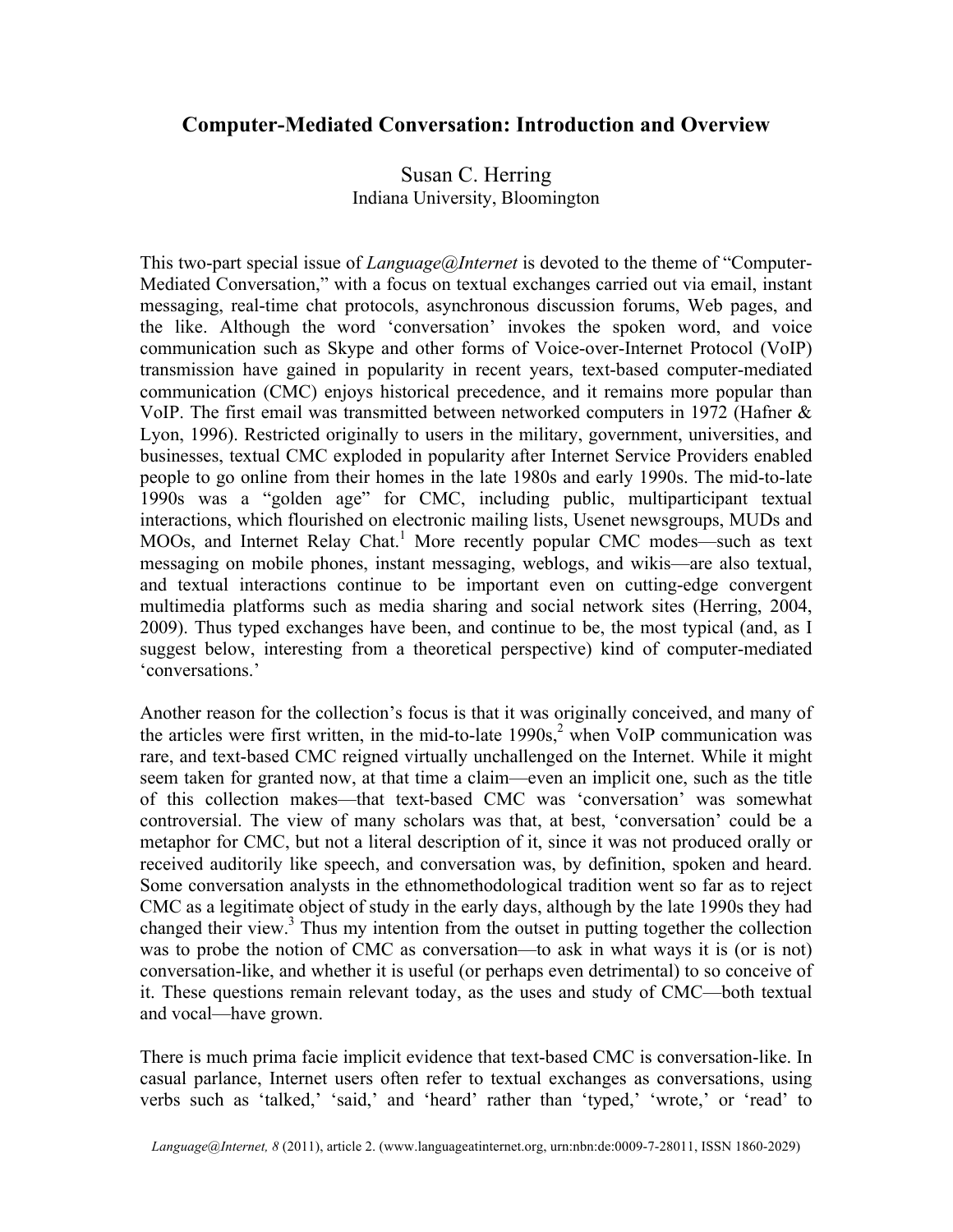# **Computer-Mediated Conversation: Introduction and Overview**

# Susan C. Herring Indiana University, Bloomington

This two-part special issue of *Language@Internet* is devoted to the theme of "Computer-Mediated Conversation," with a focus on textual exchanges carried out via email, instant messaging, real-time chat protocols, asynchronous discussion forums, Web pages, and the like. Although the word 'conversation' invokes the spoken word, and voice communication such as Skype and other forms of Voice-over-Internet Protocol (VoIP) transmission have gained in popularity in recent years, text-based computer-mediated communication (CMC) enjoys historical precedence, and it remains more popular than VoIP. The first email was transmitted between networked computers in 1972 (Hafner & Lyon, 1996). Restricted originally to users in the military, government, universities, and businesses, textual CMC exploded in popularity after Internet Service Providers enabled people to go online from their homes in the late 1980s and early 1990s. The mid-to-late 1990s was a "golden age" for CMC, including public, multiparticipant textual interactions, which flourished on electronic mailing lists, Usenet newsgroups, MUDs and MOOs, and Internet Relay Chat.<sup>1</sup> More recently popular CMC modes—such as text messaging on mobile phones, instant messaging, weblogs, and wikis—are also textual, and textual interactions continue to be important even on cutting-edge convergent multimedia platforms such as media sharing and social network sites (Herring, 2004, 2009). Thus typed exchanges have been, and continue to be, the most typical (and, as I suggest below, interesting from a theoretical perspective) kind of computer-mediated 'conversations.'

Another reason for the collection's focus is that it was originally conceived, and many of the articles were first written, in the mid-to-late  $1990s$ ,<sup>2</sup> when VoIP communication was rare, and text-based CMC reigned virtually unchallenged on the Internet. While it might seem taken for granted now, at that time a claim—even an implicit one, such as the title of this collection makes—that text-based CMC was 'conversation' was somewhat controversial. The view of many scholars was that, at best, 'conversation' could be a metaphor for CMC, but not a literal description of it, since it was not produced orally or received auditorily like speech, and conversation was, by definition, spoken and heard. Some conversation analysts in the ethnomethodological tradition went so far as to reject CMC as a legitimate object of study in the early days, although by the late 1990s they had changed their view.<sup>3</sup> Thus my intention from the outset in putting together the collection was to probe the notion of CMC as conversation—to ask in what ways it is (or is not) conversation-like, and whether it is useful (or perhaps even detrimental) to so conceive of it. These questions remain relevant today, as the uses and study of CMC—both textual and vocal—have grown.

There is much prima facie implicit evidence that text-based CMC is conversation-like. In casual parlance, Internet users often refer to textual exchanges as conversations, using verbs such as 'talked,' 'said,' and 'heard' rather than 'typed,' 'wrote,' or 'read' to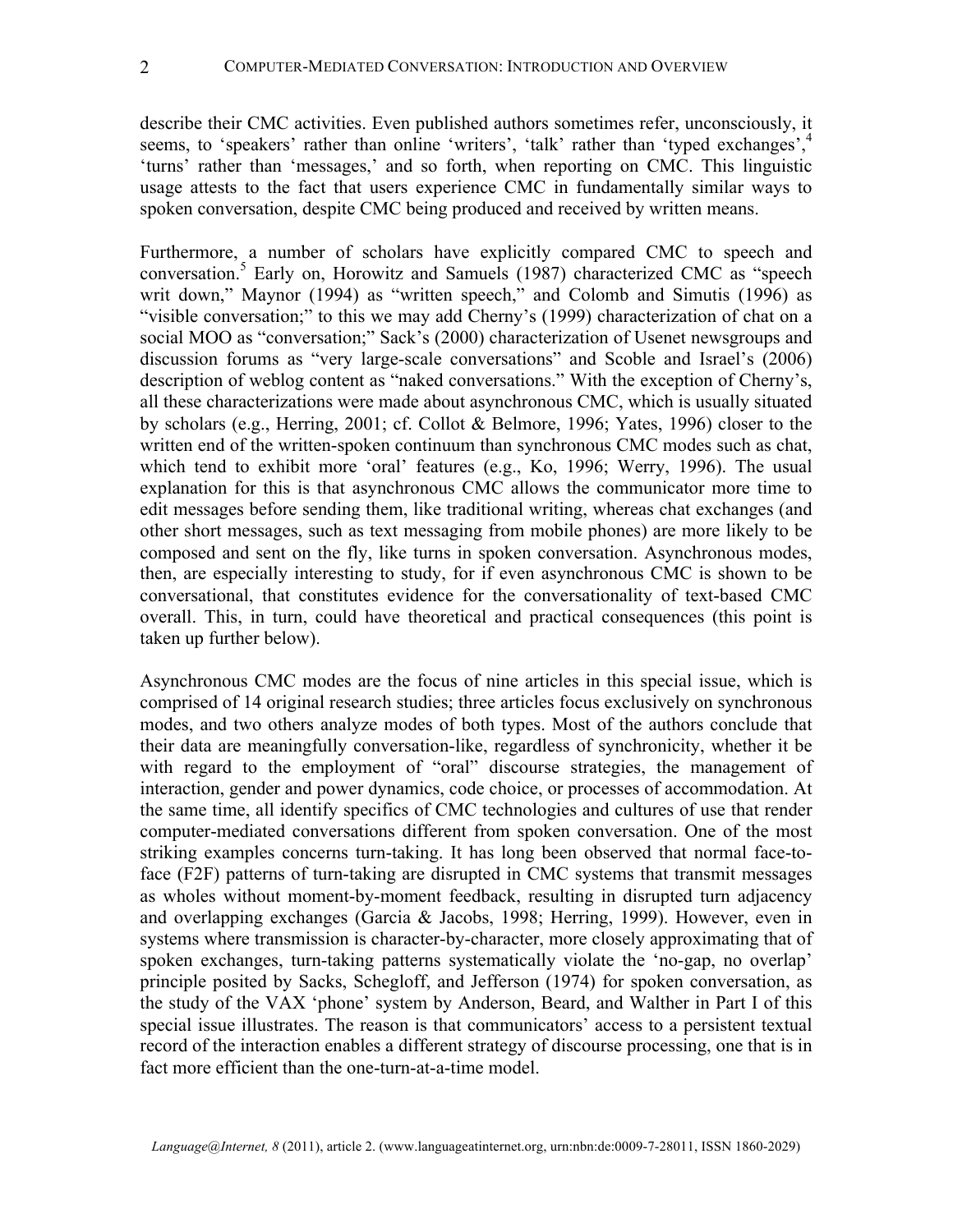describe their CMC activities. Even published authors sometimes refer, unconsciously, it seems, to 'speakers' rather than online 'writers', 'talk' rather than 'typed exchanges',<sup>4</sup> 'turns' rather than 'messages,' and so forth, when reporting on CMC. This linguistic usage attests to the fact that users experience CMC in fundamentally similar ways to spoken conversation, despite CMC being produced and received by written means.

Furthermore, a number of scholars have explicitly compared CMC to speech and conversation.<sup>5</sup> Early on, Horowitz and Samuels (1987) characterized CMC as "speech writ down," Maynor (1994) as "written speech," and Colomb and Simutis (1996) as "visible conversation;" to this we may add Cherny's (1999) characterization of chat on a social MOO as "conversation;" Sack's (2000) characterization of Usenet newsgroups and discussion forums as "very large-scale conversations" and Scoble and Israel's (2006) description of weblog content as "naked conversations." With the exception of Cherny's, all these characterizations were made about asynchronous CMC, which is usually situated by scholars (e.g., Herring, 2001; cf. Collot & Belmore, 1996; Yates, 1996) closer to the written end of the written-spoken continuum than synchronous CMC modes such as chat, which tend to exhibit more 'oral' features (e.g., Ko, 1996; Werry, 1996). The usual explanation for this is that asynchronous CMC allows the communicator more time to edit messages before sending them, like traditional writing, whereas chat exchanges (and other short messages, such as text messaging from mobile phones) are more likely to be composed and sent on the fly, like turns in spoken conversation. Asynchronous modes, then, are especially interesting to study, for if even asynchronous CMC is shown to be conversational, that constitutes evidence for the conversationality of text-based CMC overall. This, in turn, could have theoretical and practical consequences (this point is taken up further below).

Asynchronous CMC modes are the focus of nine articles in this special issue, which is comprised of 14 original research studies; three articles focus exclusively on synchronous modes, and two others analyze modes of both types. Most of the authors conclude that their data are meaningfully conversation-like, regardless of synchronicity, whether it be with regard to the employment of "oral" discourse strategies, the management of interaction, gender and power dynamics, code choice, or processes of accommodation. At the same time, all identify specifics of CMC technologies and cultures of use that render computer-mediated conversations different from spoken conversation. One of the most striking examples concerns turn-taking. It has long been observed that normal face-toface (F2F) patterns of turn-taking are disrupted in CMC systems that transmit messages as wholes without moment-by-moment feedback, resulting in disrupted turn adjacency and overlapping exchanges (Garcia & Jacobs, 1998; Herring, 1999). However, even in systems where transmission is character-by-character, more closely approximating that of spoken exchanges, turn-taking patterns systematically violate the 'no-gap, no overlap' principle posited by Sacks, Schegloff, and Jefferson (1974) for spoken conversation, as the study of the VAX 'phone' system by Anderson, Beard, and Walther in Part I of this special issue illustrates. The reason is that communicators' access to a persistent textual record of the interaction enables a different strategy of discourse processing, one that is in fact more efficient than the one-turn-at-a-time model.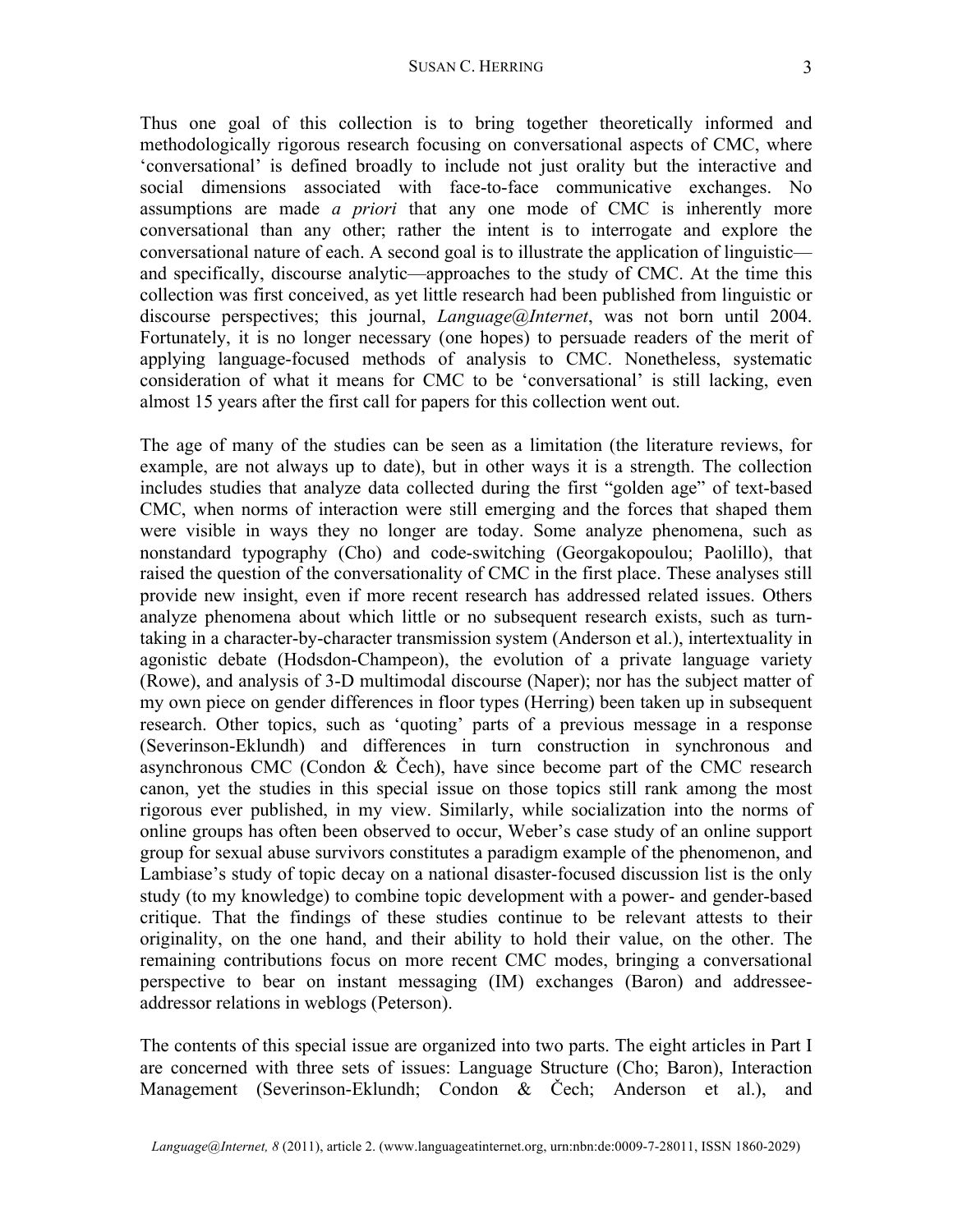Thus one goal of this collection is to bring together theoretically informed and methodologically rigorous research focusing on conversational aspects of CMC, where 'conversational' is defined broadly to include not just orality but the interactive and social dimensions associated with face-to-face communicative exchanges. No assumptions are made *a priori* that any one mode of CMC is inherently more conversational than any other; rather the intent is to interrogate and explore the conversational nature of each. A second goal is to illustrate the application of linguistic and specifically, discourse analytic—approaches to the study of CMC. At the time this collection was first conceived, as yet little research had been published from linguistic or discourse perspectives; this journal, *Language@Internet*, was not born until 2004. Fortunately, it is no longer necessary (one hopes) to persuade readers of the merit of applying language-focused methods of analysis to CMC. Nonetheless, systematic consideration of what it means for CMC to be 'conversational' is still lacking, even almost 15 years after the first call for papers for this collection went out.

The age of many of the studies can be seen as a limitation (the literature reviews, for example, are not always up to date), but in other ways it is a strength. The collection includes studies that analyze data collected during the first "golden age" of text-based CMC, when norms of interaction were still emerging and the forces that shaped them were visible in ways they no longer are today. Some analyze phenomena, such as nonstandard typography (Cho) and code-switching (Georgakopoulou; Paolillo), that raised the question of the conversationality of CMC in the first place. These analyses still provide new insight, even if more recent research has addressed related issues. Others analyze phenomena about which little or no subsequent research exists, such as turntaking in a character-by-character transmission system (Anderson et al.), intertextuality in agonistic debate (Hodsdon-Champeon), the evolution of a private language variety (Rowe), and analysis of 3-D multimodal discourse (Naper); nor has the subject matter of my own piece on gender differences in floor types (Herring) been taken up in subsequent research. Other topics, such as 'quoting' parts of a previous message in a response (Severinson-Eklundh) and differences in turn construction in synchronous and asynchronous CMC (Condon  $& Čech$ ), have since become part of the CMC research canon, yet the studies in this special issue on those topics still rank among the most rigorous ever published, in my view. Similarly, while socialization into the norms of online groups has often been observed to occur, Weber's case study of an online support group for sexual abuse survivors constitutes a paradigm example of the phenomenon, and Lambiase's study of topic decay on a national disaster-focused discussion list is the only study (to my knowledge) to combine topic development with a power- and gender-based critique. That the findings of these studies continue to be relevant attests to their originality, on the one hand, and their ability to hold their value, on the other. The remaining contributions focus on more recent CMC modes, bringing a conversational perspective to bear on instant messaging (IM) exchanges (Baron) and addresseeaddressor relations in weblogs (Peterson).

The contents of this special issue are organized into two parts. The eight articles in Part I are concerned with three sets of issues: Language Structure (Cho; Baron), Interaction Management (Severinson-Eklundh; Condon & Čech; Anderson et al.), and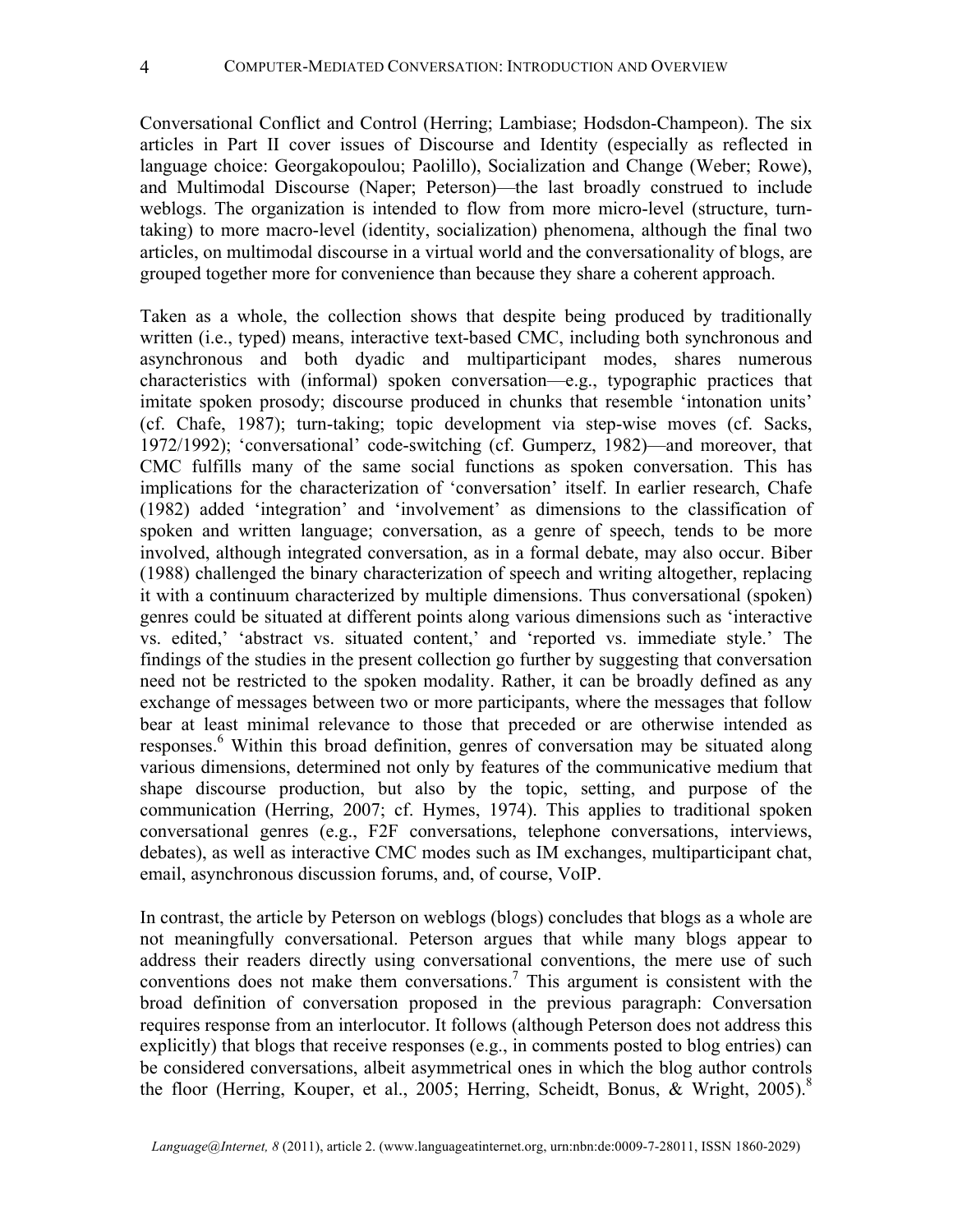Conversational Conflict and Control (Herring; Lambiase; Hodsdon-Champeon). The six articles in Part II cover issues of Discourse and Identity (especially as reflected in language choice: Georgakopoulou; Paolillo), Socialization and Change (Weber; Rowe), and Multimodal Discourse (Naper; Peterson)—the last broadly construed to include weblogs. The organization is intended to flow from more micro-level (structure, turntaking) to more macro-level (identity, socialization) phenomena, although the final two articles, on multimodal discourse in a virtual world and the conversationality of blogs, are grouped together more for convenience than because they share a coherent approach.

Taken as a whole, the collection shows that despite being produced by traditionally written (i.e., typed) means, interactive text-based CMC, including both synchronous and asynchronous and both dyadic and multiparticipant modes, shares numerous characteristics with (informal) spoken conversation—e.g., typographic practices that imitate spoken prosody; discourse produced in chunks that resemble 'intonation units' (cf. Chafe, 1987); turn-taking; topic development via step-wise moves (cf. Sacks, 1972/1992); 'conversational' code-switching (cf. Gumperz, 1982)—and moreover, that CMC fulfills many of the same social functions as spoken conversation. This has implications for the characterization of 'conversation' itself. In earlier research, Chafe (1982) added 'integration' and 'involvement' as dimensions to the classification of spoken and written language; conversation, as a genre of speech, tends to be more involved, although integrated conversation, as in a formal debate, may also occur. Biber (1988) challenged the binary characterization of speech and writing altogether, replacing it with a continuum characterized by multiple dimensions. Thus conversational (spoken) genres could be situated at different points along various dimensions such as 'interactive vs. edited,' 'abstract vs. situated content,' and 'reported vs. immediate style.' The findings of the studies in the present collection go further by suggesting that conversation need not be restricted to the spoken modality. Rather, it can be broadly defined as any exchange of messages between two or more participants, where the messages that follow bear at least minimal relevance to those that preceded or are otherwise intended as responses.<sup>6</sup> Within this broad definition, genres of conversation may be situated along various dimensions, determined not only by features of the communicative medium that shape discourse production, but also by the topic, setting, and purpose of the communication (Herring, 2007; cf. Hymes, 1974). This applies to traditional spoken conversational genres (e.g., F2F conversations, telephone conversations, interviews, debates), as well as interactive CMC modes such as IM exchanges, multiparticipant chat, email, asynchronous discussion forums, and, of course, VoIP.

In contrast, the article by Peterson on weblogs (blogs) concludes that blogs as a whole are not meaningfully conversational. Peterson argues that while many blogs appear to address their readers directly using conversational conventions, the mere use of such conventions does not make them conversations.<sup>7</sup> This argument is consistent with the broad definition of conversation proposed in the previous paragraph: Conversation requires response from an interlocutor. It follows (although Peterson does not address this explicitly) that blogs that receive responses (e.g., in comments posted to blog entries) can be considered conversations, albeit asymmetrical ones in which the blog author controls the floor (Herring, Kouper, et al., 2005; Herring, Scheidt, Bonus, & Wright, 2005).<sup>8</sup>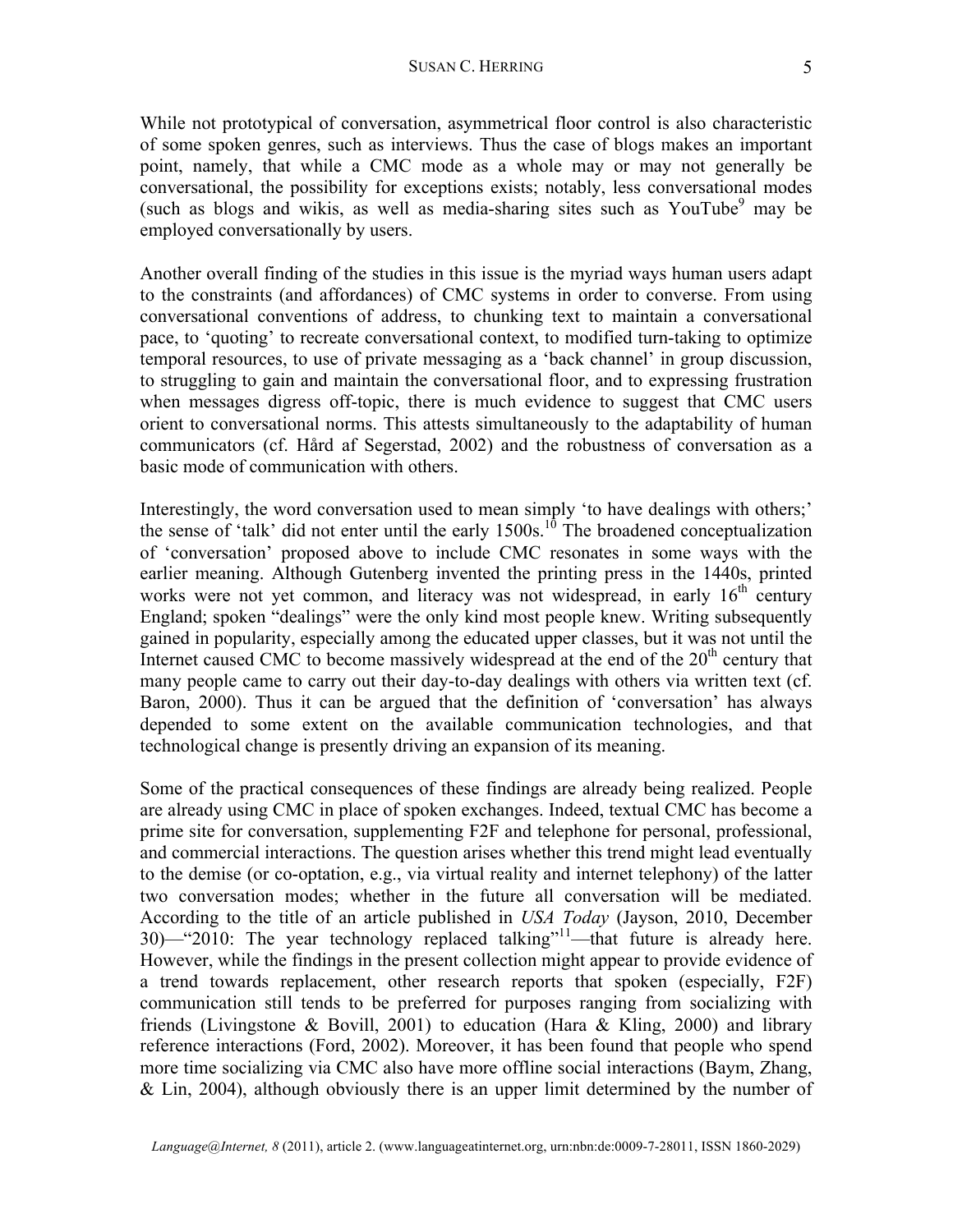While not prototypical of conversation, asymmetrical floor control is also characteristic of some spoken genres, such as interviews. Thus the case of blogs makes an important point, namely, that while a CMC mode as a whole may or may not generally be conversational, the possibility for exceptions exists; notably, less conversational modes (such as blogs and wikis, as well as media-sharing sites such as YouTube<sup>9</sup> may be employed conversationally by users.

Another overall finding of the studies in this issue is the myriad ways human users adapt to the constraints (and affordances) of CMC systems in order to converse. From using conversational conventions of address, to chunking text to maintain a conversational pace, to 'quoting' to recreate conversational context, to modified turn-taking to optimize temporal resources, to use of private messaging as a 'back channel' in group discussion, to struggling to gain and maintain the conversational floor, and to expressing frustration when messages digress off-topic, there is much evidence to suggest that CMC users orient to conversational norms. This attests simultaneously to the adaptability of human communicators (cf. Hård af Segerstad, 2002) and the robustness of conversation as a basic mode of communication with others.

Interestingly, the word conversation used to mean simply 'to have dealings with others;' the sense of 'talk' did not enter until the early  $1500s$ <sup>10</sup>. The broadened conceptualization of 'conversation' proposed above to include CMC resonates in some ways with the earlier meaning. Although Gutenberg invented the printing press in the 1440s, printed works were not yet common, and literacy was not widespread, in early  $16<sup>th</sup>$  century England; spoken "dealings" were the only kind most people knew. Writing subsequently gained in popularity, especially among the educated upper classes, but it was not until the Internet caused CMC to become massively widespread at the end of the  $20<sup>th</sup>$  century that many people came to carry out their day-to-day dealings with others via written text (cf. Baron, 2000). Thus it can be argued that the definition of 'conversation' has always depended to some extent on the available communication technologies, and that technological change is presently driving an expansion of its meaning.

Some of the practical consequences of these findings are already being realized. People are already using CMC in place of spoken exchanges. Indeed, textual CMC has become a prime site for conversation, supplementing F2F and telephone for personal, professional, and commercial interactions. The question arises whether this trend might lead eventually to the demise (or co-optation, e.g., via virtual reality and internet telephony) of the latter two conversation modes; whether in the future all conversation will be mediated. According to the title of an article published in *USA Today* (Jayson, 2010, December 30)—"2010: The year technology replaced talking"<sup>11</sup>—that future is already here. However, while the findings in the present collection might appear to provide evidence of a trend towards replacement, other research reports that spoken (especially, F2F) communication still tends to be preferred for purposes ranging from socializing with friends (Livingstone & Bovill, 2001) to education (Hara & Kling, 2000) and library reference interactions (Ford, 2002). Moreover, it has been found that people who spend more time socializing via CMC also have more offline social interactions (Baym, Zhang, & Lin, 2004), although obviously there is an upper limit determined by the number of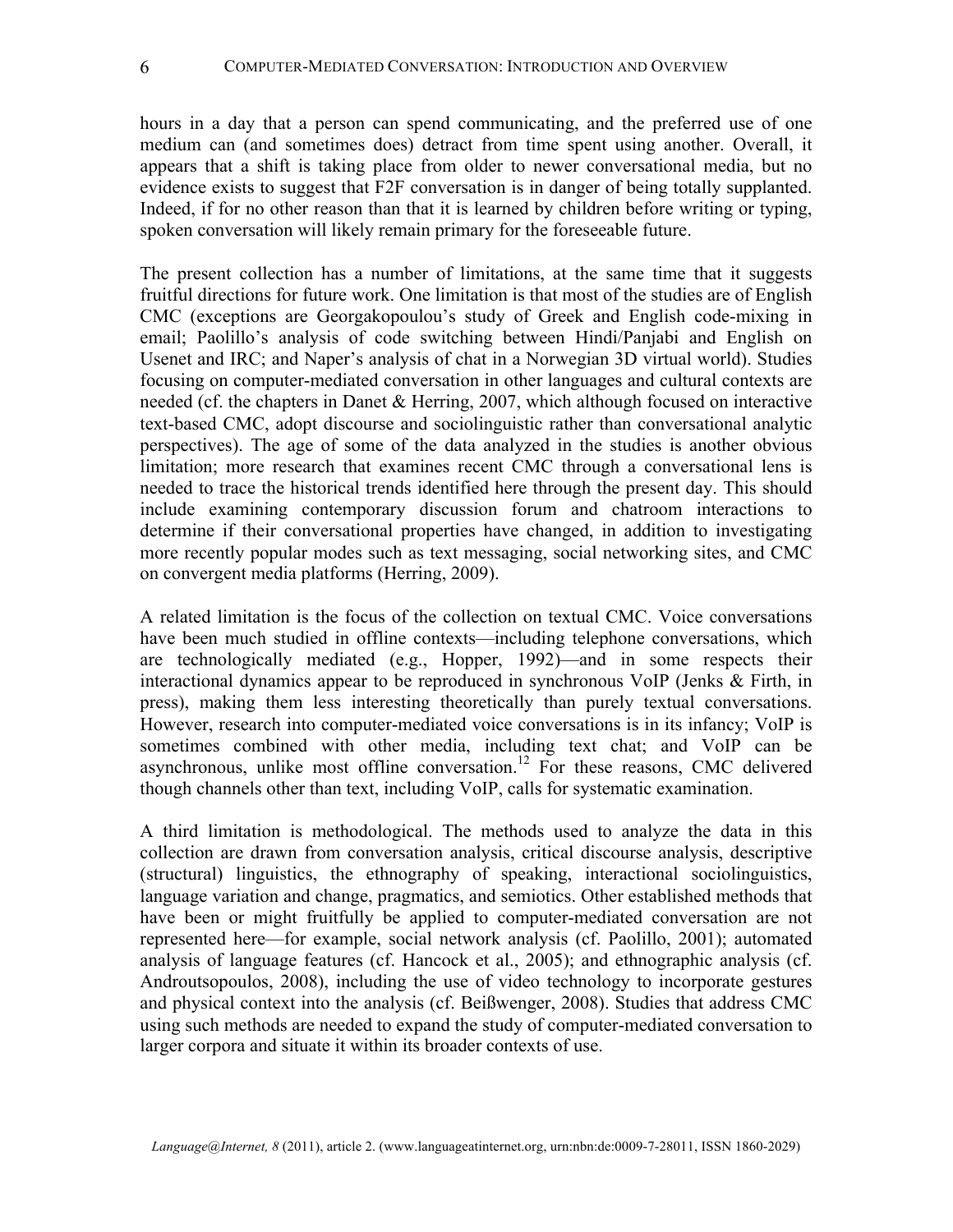6

hours in a day that a person can spend communicating, and the preferred use of one medium can (and sometimes does) detract from time spent using another. Overall, it appears that a shift is taking place from older to newer conversational media, but no evidence exists to suggest that F2F conversation is in danger of being totally supplanted. Indeed, if for no other reason than that it is learned by children before writing or typing, spoken conversation will likely remain primary for the foreseeable future.

The present collection has a number of limitations, at the same time that it suggests fruitful directions for future work. One limitation is that most of the studies are of English CMC (exceptions are Georgakopoulou's study of Greek and English code-mixing in email; Paolillo's analysis of code switching between Hindi/Panjabi and English on Usenet and IRC; and Naper's analysis of chat in a Norwegian 3D virtual world). Studies focusing on computer-mediated conversation in other languages and cultural contexts are needed (cf. the chapters in Danet & Herring, 2007, which although focused on interactive text-based CMC, adopt discourse and sociolinguistic rather than conversational analytic perspectives). The age of some of the data analyzed in the studies is another obvious limitation; more research that examines recent CMC through a conversational lens is needed to trace the historical trends identified here through the present day. This should include examining contemporary discussion forum and chatroom interactions to determine if their conversational properties have changed, in addition to investigating more recently popular modes such as text messaging, social networking sites, and CMC on convergent media platforms (Herring, 2009).

A related limitation is the focus of the collection on textual CMC. Voice conversations have been much studied in offline contexts—including telephone conversations, which are technologically mediated (e.g., Hopper, 1992)—and in some respects their interactional dynamics appear to be reproduced in synchronous VoIP (Jenks & Firth, in press), making them less interesting theoretically than purely textual conversations. However, research into computer-mediated voice conversations is in its infancy; VoIP is sometimes combined with other media, including text chat; and VoIP can be asynchronous, unlike most offline conversation.<sup>12</sup> For these reasons, CMC delivered though channels other than text, including VoIP, calls for systematic examination.

A third limitation is methodological. The methods used to analyze the data in this collection are drawn from conversation analysis, critical discourse analysis, descriptive (structural) linguistics, the ethnography of speaking, interactional sociolinguistics, language variation and change, pragmatics, and semiotics. Other established methods that have been or might fruitfully be applied to computer-mediated conversation are not represented here—for example, social network analysis (cf. Paolillo, 2001); automated analysis of language features (cf. Hancock et al., 2005); and ethnographic analysis (cf. Androutsopoulos, 2008), including the use of video technology to incorporate gestures and physical context into the analysis (cf. Beißwenger, 2008). Studies that address CMC using such methods are needed to expand the study of computer-mediated conversation to larger corpora and situate it within its broader contexts of use.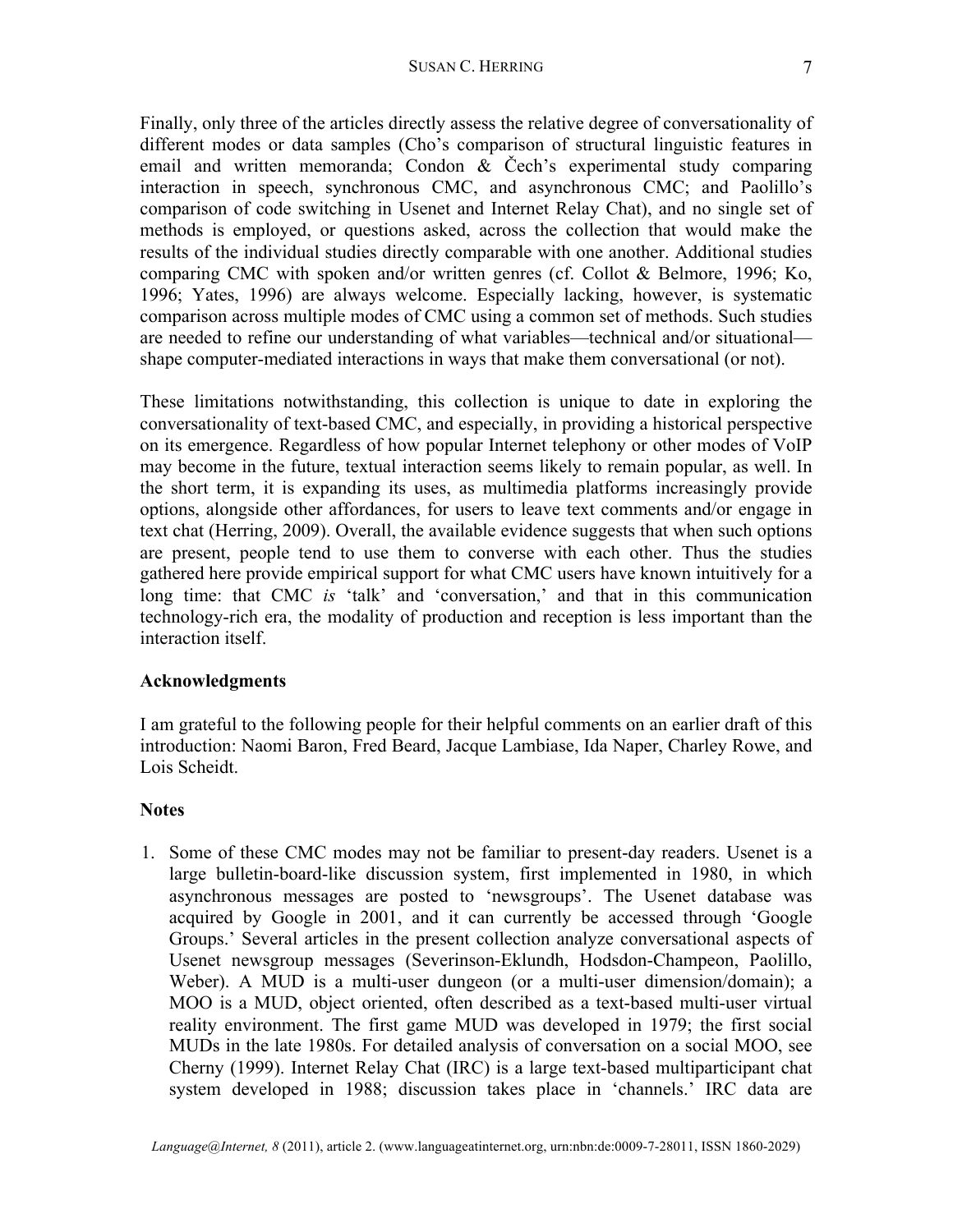Finally, only three of the articles directly assess the relative degree of conversationality of different modes or data samples (Cho's comparison of structural linguistic features in email and written memoranda; Condon & Čech's experimental study comparing interaction in speech, synchronous CMC, and asynchronous CMC; and Paolillo's comparison of code switching in Usenet and Internet Relay Chat), and no single set of methods is employed, or questions asked, across the collection that would make the results of the individual studies directly comparable with one another. Additional studies comparing CMC with spoken and/or written genres (cf. Collot & Belmore, 1996; Ko, 1996; Yates, 1996) are always welcome. Especially lacking, however, is systematic comparison across multiple modes of CMC using a common set of methods. Such studies are needed to refine our understanding of what variables—technical and/or situational shape computer-mediated interactions in ways that make them conversational (or not).

These limitations notwithstanding, this collection is unique to date in exploring the conversationality of text-based CMC, and especially, in providing a historical perspective on its emergence. Regardless of how popular Internet telephony or other modes of VoIP may become in the future, textual interaction seems likely to remain popular, as well. In the short term, it is expanding its uses, as multimedia platforms increasingly provide options, alongside other affordances, for users to leave text comments and/or engage in text chat (Herring, 2009). Overall, the available evidence suggests that when such options are present, people tend to use them to converse with each other. Thus the studies gathered here provide empirical support for what CMC users have known intuitively for a long time: that CMC *is* 'talk' and 'conversation,' and that in this communication technology-rich era, the modality of production and reception is less important than the interaction itself.

## **Acknowledgments**

I am grateful to the following people for their helpful comments on an earlier draft of this introduction: Naomi Baron, Fred Beard, Jacque Lambiase, Ida Naper, Charley Rowe, and Lois Scheidt.

## **Notes**

1. Some of these CMC modes may not be familiar to present-day readers. Usenet is a large bulletin-board-like discussion system, first implemented in 1980, in which asynchronous messages are posted to 'newsgroups'. The Usenet database was acquired by Google in 2001, and it can currently be accessed through 'Google Groups.' Several articles in the present collection analyze conversational aspects of Usenet newsgroup messages (Severinson-Eklundh, Hodsdon-Champeon, Paolillo, Weber). A MUD is a multi-user dungeon (or a multi-user dimension/domain); a MOO is a MUD, object oriented, often described as a text-based multi-user virtual reality environment. The first game MUD was developed in 1979; the first social MUDs in the late 1980s. For detailed analysis of conversation on a social MOO, see Cherny (1999). Internet Relay Chat (IRC) is a large text-based multiparticipant chat system developed in 1988; discussion takes place in 'channels.' IRC data are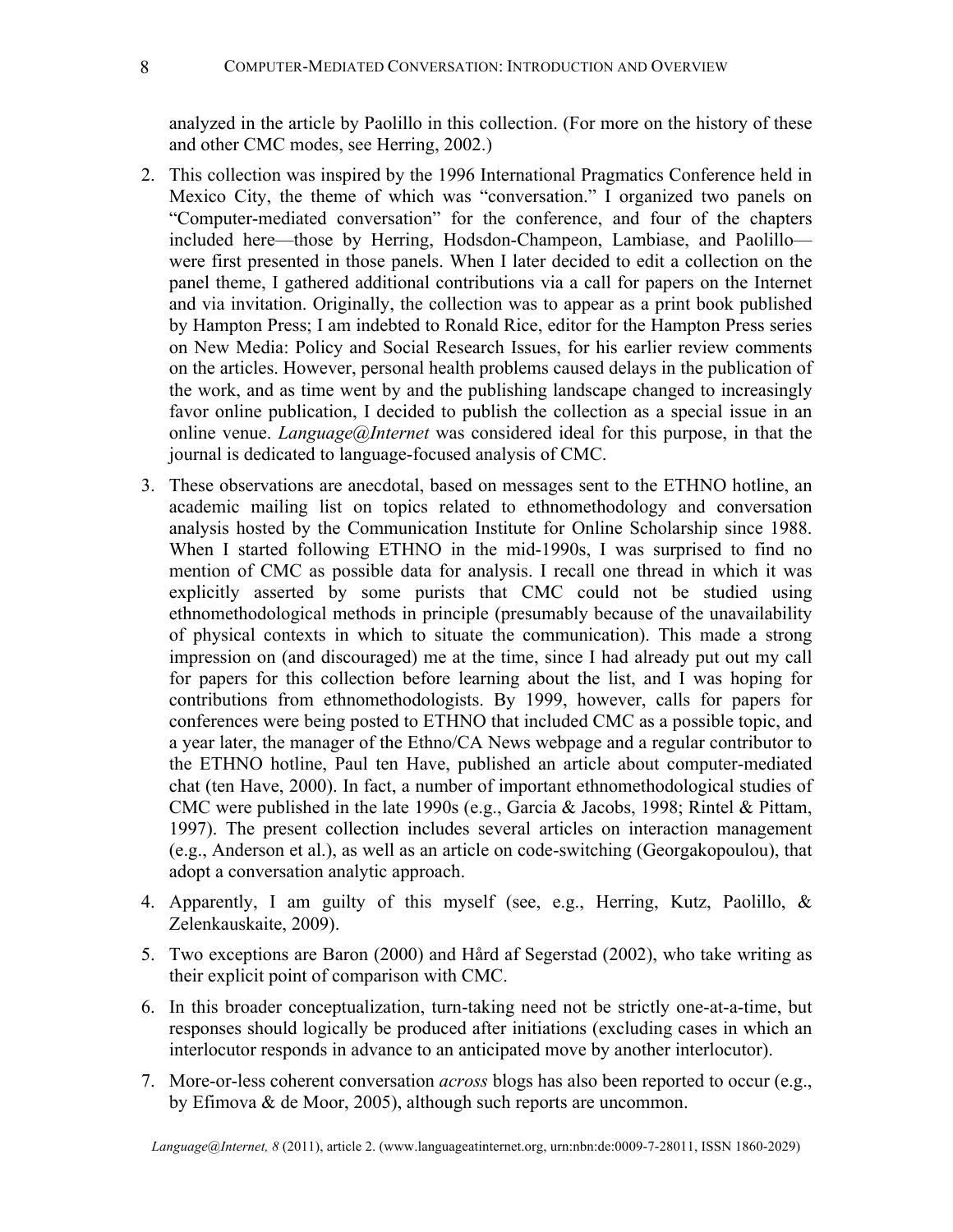#### COMPUTER-MEDIATED CONVERSATION: INTRODUCTION AND OVERVIEW

8

analyzed in the article by Paolillo in this collection. (For more on the history of these and other CMC modes, see Herring, 2002.)

- 2. This collection was inspired by the 1996 International Pragmatics Conference held in Mexico City, the theme of which was "conversation." I organized two panels on "Computer-mediated conversation" for the conference, and four of the chapters included here—those by Herring, Hodsdon-Champeon, Lambiase, and Paolillo were first presented in those panels. When I later decided to edit a collection on the panel theme, I gathered additional contributions via a call for papers on the Internet and via invitation. Originally, the collection was to appear as a print book published by Hampton Press; I am indebted to Ronald Rice, editor for the Hampton Press series on New Media: Policy and Social Research Issues, for his earlier review comments on the articles. However, personal health problems caused delays in the publication of the work, and as time went by and the publishing landscape changed to increasingly favor online publication, I decided to publish the collection as a special issue in an online venue. *Language@Internet* was considered ideal for this purpose, in that the journal is dedicated to language-focused analysis of CMC.
- 3. These observations are anecdotal, based on messages sent to the ETHNO hotline, an academic mailing list on topics related to ethnomethodology and conversation analysis hosted by the Communication Institute for Online Scholarship since 1988. When I started following ETHNO in the mid-1990s, I was surprised to find no mention of CMC as possible data for analysis. I recall one thread in which it was explicitly asserted by some purists that CMC could not be studied using ethnomethodological methods in principle (presumably because of the unavailability of physical contexts in which to situate the communication). This made a strong impression on (and discouraged) me at the time, since I had already put out my call for papers for this collection before learning about the list, and I was hoping for contributions from ethnomethodologists. By 1999, however, calls for papers for conferences were being posted to ETHNO that included CMC as a possible topic, and a year later, the manager of the Ethno/CA News webpage and a regular contributor to the ETHNO hotline, Paul ten Have, published an article about computer-mediated chat (ten Have, 2000). In fact, a number of important ethnomethodological studies of CMC were published in the late 1990s (e.g., Garcia & Jacobs, 1998; Rintel & Pittam, 1997). The present collection includes several articles on interaction management (e.g., Anderson et al.), as well as an article on code-switching (Georgakopoulou), that adopt a conversation analytic approach.
- 4. Apparently, I am guilty of this myself (see, e.g., Herring, Kutz, Paolillo, & Zelenkauskaite, 2009).
- 5. Two exceptions are Baron (2000) and Hård af Segerstad (2002), who take writing as their explicit point of comparison with CMC.
- 6. In this broader conceptualization, turn-taking need not be strictly one-at-a-time, but responses should logically be produced after initiations (excluding cases in which an interlocutor responds in advance to an anticipated move by another interlocutor).
- 7. More-or-less coherent conversation *across* blogs has also been reported to occur (e.g., by Efimova & de Moor, 2005), although such reports are uncommon.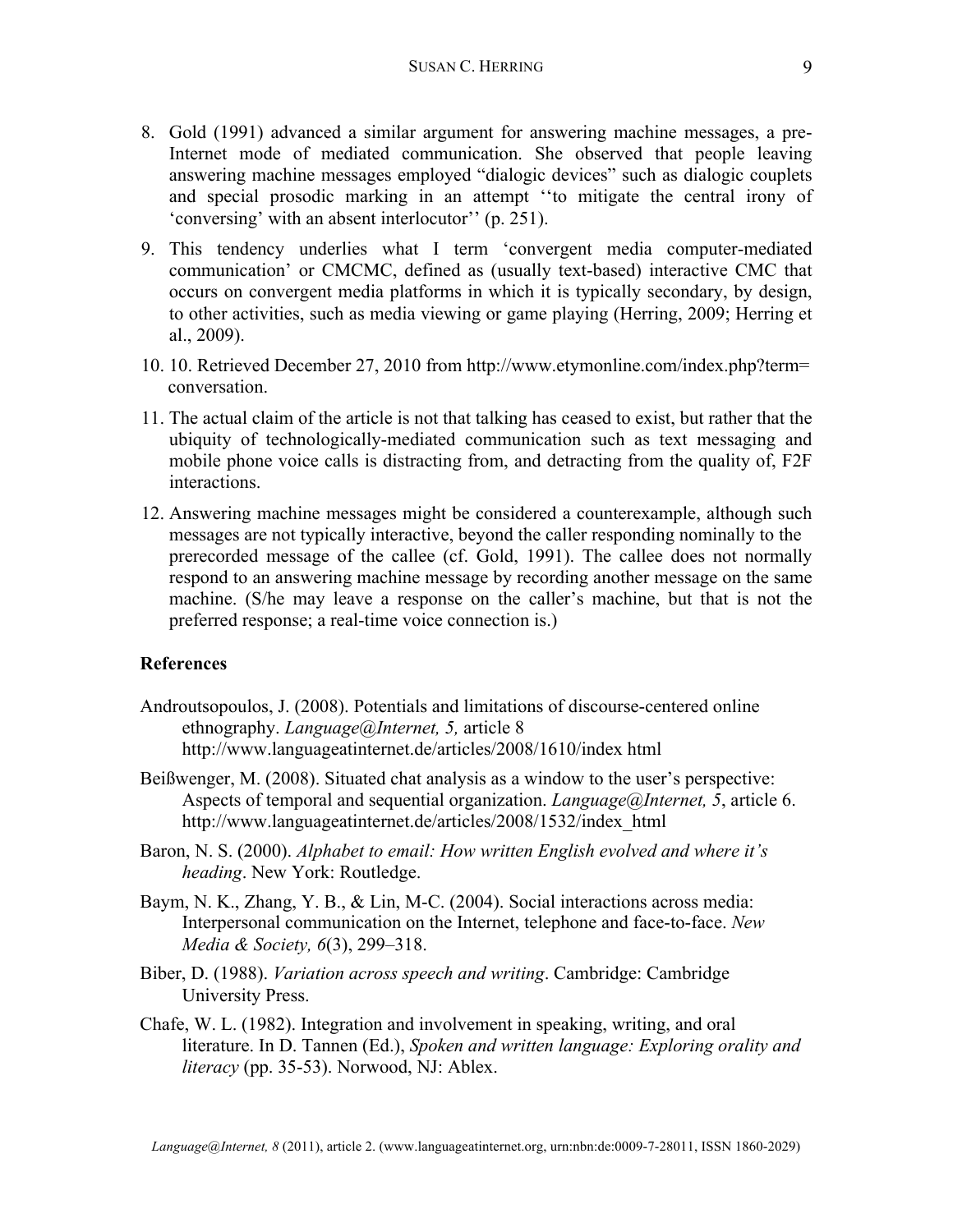- 8. Gold (1991) advanced a similar argument for answering machine messages, a pre-Internet mode of mediated communication. She observed that people leaving answering machine messages employed "dialogic devices" such as dialogic couplets and special prosodic marking in an attempt ''to mitigate the central irony of 'conversing' with an absent interlocutor'' (p. 251).
- 9. This tendency underlies what I term 'convergent media computer-mediated communication' or CMCMC, defined as (usually text-based) interactive CMC that occurs on convergent media platforms in which it is typically secondary, by design, to other activities, such as media viewing or game playing (Herring, 2009; Herring et al., 2009).
- 10. 10. Retrieved December 27, 2010 from http://www.etymonline.com/index.php?term= conversation.
- 11. The actual claim of the article is not that talking has ceased to exist, but rather that the ubiquity of technologically-mediated communication such as text messaging and mobile phone voice calls is distracting from, and detracting from the quality of, F2F interactions.
- 12. Answering machine messages might be considered a counterexample, although such messages are not typically interactive, beyond the caller responding nominally to the prerecorded message of the callee (cf. Gold, 1991). The callee does not normally respond to an answering machine message by recording another message on the same machine. (S/he may leave a response on the caller's machine, but that is not the preferred response; a real-time voice connection is.)

## **References**

- Androutsopoulos, J. (2008). Potentials and limitations of discourse-centered online ethnography. *Language@Internet, 5,* article 8 http://www.languageatinternet.de/articles/2008/1610/index html
- Beißwenger, M. (2008). Situated chat analysis as a window to the user's perspective: Aspects of temporal and sequential organization. *Language@Internet, 5*, article 6. http://www.languageatinternet.de/articles/2008/1532/index\_html
- Baron, N. S. (2000). *Alphabet to email: How written English evolved and where it's heading*. New York: Routledge.
- Baym, N. K., Zhang, Y. B., & Lin, M-C. (2004). Social interactions across media: Interpersonal communication on the Internet, telephone and face-to-face. *New Media & Society, 6*(3), 299–318.
- Biber, D. (1988). *Variation across speech and writing*. Cambridge: Cambridge University Press.
- Chafe, W. L. (1982). Integration and involvement in speaking, writing, and oral literature. In D. Tannen (Ed.), *Spoken and written language: Exploring orality and literacy* (pp. 35-53). Norwood, NJ: Ablex.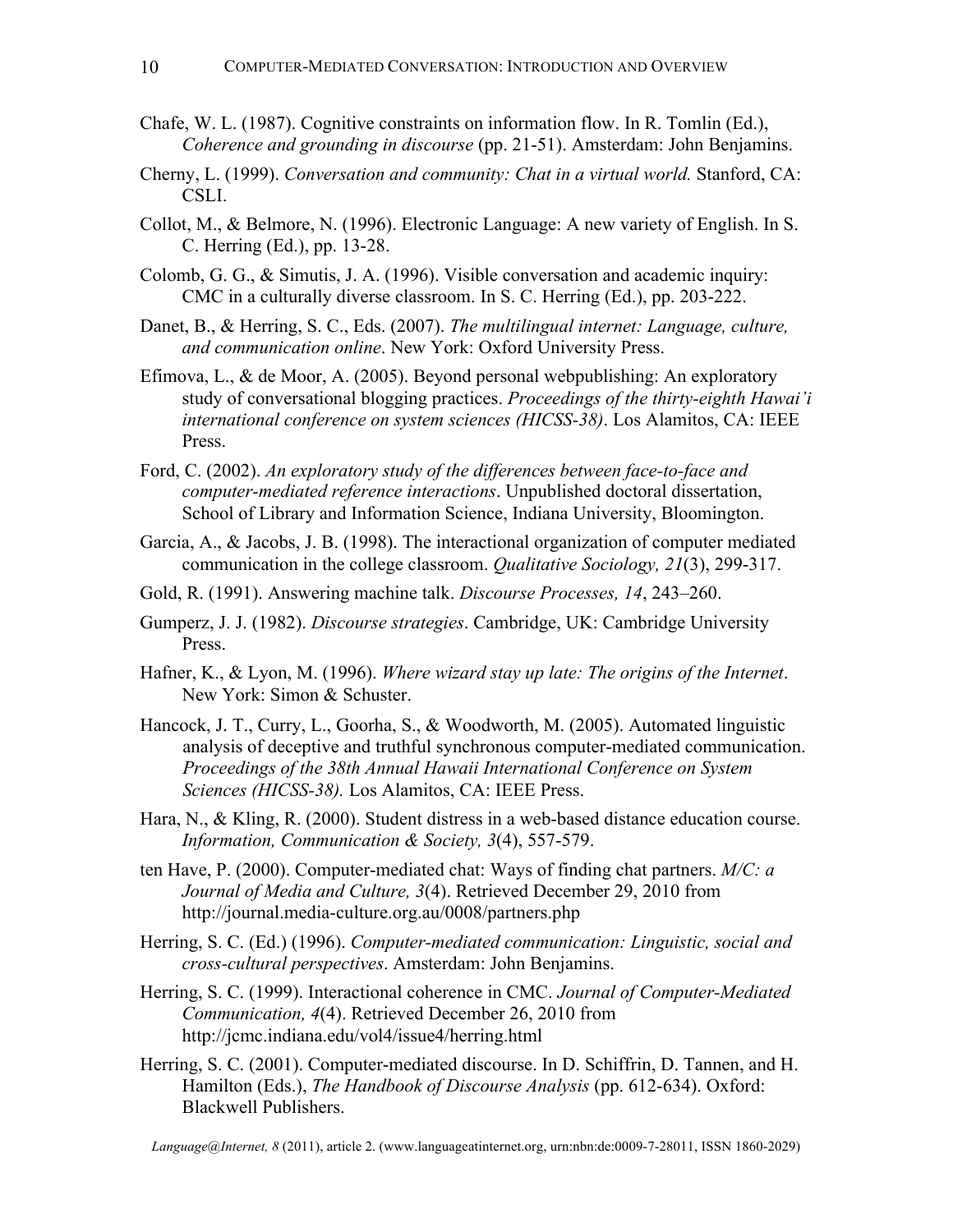- Chafe, W. L. (1987). Cognitive constraints on information flow. In R. Tomlin (Ed.), *Coherence and grounding in discourse* (pp. 21-51). Amsterdam: John Benjamins.
- Cherny, L. (1999). *Conversation and community: Chat in a virtual world.* Stanford, CA: CSLI.
- Collot, M., & Belmore, N. (1996). Electronic Language: A new variety of English. In S. C. Herring (Ed.), pp. 13-28.
- Colomb, G. G., & Simutis, J. A. (1996). Visible conversation and academic inquiry: CMC in a culturally diverse classroom. In S. C. Herring (Ed.), pp. 203-222.
- Danet, B., & Herring, S. C., Eds. (2007). *The multilingual internet: Language, culture, and communication online*. New York: Oxford University Press.
- Efimova, L., & de Moor, A. (2005). Beyond personal webpublishing: An exploratory study of conversational blogging practices. *Proceedings of the thirty-eighth Hawai'i international conference on system sciences (HICSS-38)*. Los Alamitos, CA: IEEE Press.
- Ford, C. (2002). *An exploratory study of the differences between face-to-face and computer-mediated reference interactions*. Unpublished doctoral dissertation, School of Library and Information Science, Indiana University, Bloomington.
- Garcia, A., & Jacobs, J. B. (1998). The interactional organization of computer mediated communication in the college classroom. *Qualitative Sociology, 21*(3), 299-317.
- Gold, R. (1991). Answering machine talk. *Discourse Processes, 14*, 243–260.
- Gumperz, J. J. (1982). *Discourse strategies*. Cambridge, UK: Cambridge University Press.
- Hafner, K., & Lyon, M. (1996). *Where wizard stay up late: The origins of the Internet*. New York: Simon & Schuster.
- Hancock, J. T., Curry, L., Goorha, S., & Woodworth, M. (2005). Automated linguistic analysis of deceptive and truthful synchronous computer-mediated communication. *Proceedings of the 38th Annual Hawaii International Conference on System Sciences (HICSS-38).* Los Alamitos, CA: IEEE Press.
- Hara, N., & Kling, R. (2000). Student distress in a web-based distance education course. *Information, Communication & Society, 3*(4), 557-579.
- ten Have, P. (2000). Computer-mediated chat: Ways of finding chat partners. *M/C: a Journal of Media and Culture, 3*(4). Retrieved December 29, 2010 from http://journal.media-culture.org.au/0008/partners.php
- Herring, S. C. (Ed.) (1996). *Computer-mediated communication: Linguistic, social and cross-cultural perspectives*. Amsterdam: John Benjamins.
- Herring, S. C. (1999). Interactional coherence in CMC. *Journal of Computer-Mediated Communication, 4*(4). Retrieved December 26, 2010 from http://jcmc.indiana.edu/vol4/issue4/herring.html
- Herring, S. C. (2001). Computer-mediated discourse. In D. Schiffrin, D. Tannen, and H. Hamilton (Eds.), *The Handbook of Discourse Analysis* (pp. 612-634). Oxford: Blackwell Publishers.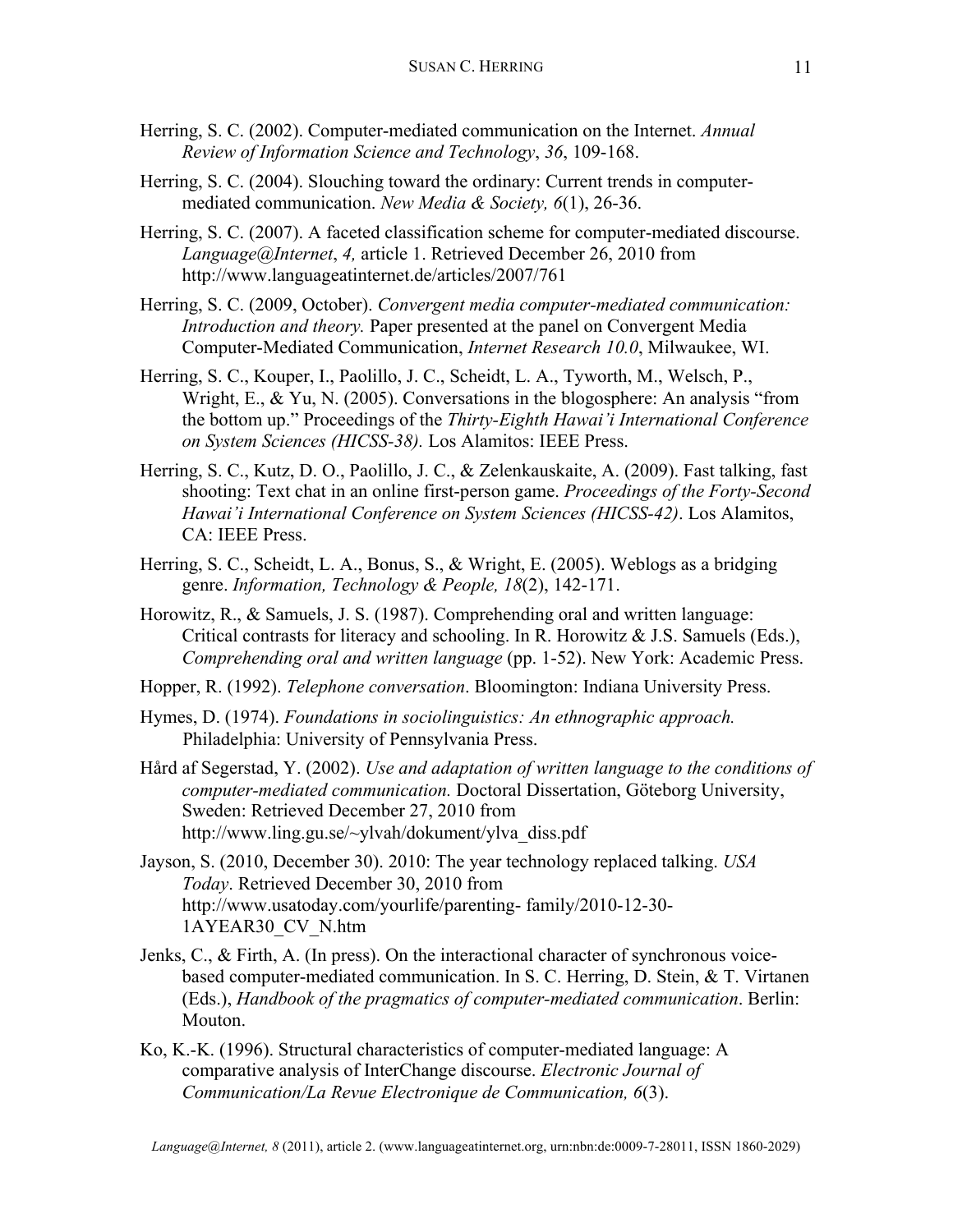- Herring, S. C. (2002). Computer-mediated communication on the Internet. *Annual Review of Information Science and Technology*, *36*, 109-168.
- Herring, S. C. (2004). Slouching toward the ordinary: Current trends in computermediated communication. *New Media & Society, 6*(1), 26-36.
- Herring, S. C. (2007). A faceted classification scheme for computer-mediated discourse. *Language@Internet*, *4,* article 1. Retrieved December 26, 2010 from http://www.languageatinternet.de/articles/2007/761
- Herring, S. C. (2009, October). *Convergent media computer-mediated communication: Introduction and theory.* Paper presented at the panel on Convergent Media Computer-Mediated Communication, *Internet Research 10.0*, Milwaukee, WI.
- Herring, S. C., Kouper, I., Paolillo, J. C., Scheidt, L. A., Tyworth, M., Welsch, P., Wright, E., & Yu, N. (2005). Conversations in the blogosphere: An analysis "from the bottom up." Proceedings of the *Thirty-Eighth Hawai'i International Conference on System Sciences (HICSS-38).* Los Alamitos: IEEE Press.
- Herring, S. C., Kutz, D. O., Paolillo, J. C., & Zelenkauskaite, A. (2009). Fast talking, fast shooting: Text chat in an online first-person game. *Proceedings of the Forty-Second Hawai'i International Conference on System Sciences (HICSS-42)*. Los Alamitos, CA: IEEE Press.
- Herring, S. C., Scheidt, L. A., Bonus, S., & Wright, E. (2005). Weblogs as a bridging genre. *Information, Technology & People, 18*(2), 142-171.
- Horowitz, R., & Samuels, J. S. (1987). Comprehending oral and written language: Critical contrasts for literacy and schooling. In R. Horowitz & J.S. Samuels (Eds.), *Comprehending oral and written language* (pp. 1-52). New York: Academic Press.
- Hopper, R. (1992). *Telephone conversation*. Bloomington: Indiana University Press.
- Hymes, D. (1974). *Foundations in sociolinguistics: An ethnographic approach.* Philadelphia: University of Pennsylvania Press.
- Hård af Segerstad, Y. (2002). *Use and adaptation of written language to the conditions of computer-mediated communication.* Doctoral Dissertation, Göteborg University, Sweden: Retrieved December 27, 2010 from http://www.ling.gu.se/~ylvah/dokument/ylva\_diss.pdf
- Jayson, S. (2010, December 30). 2010: The year technology replaced talking. *USA Today*. Retrieved December 30, 2010 from http://www.usatoday.com/yourlife/parenting- family/2010-12-30- 1AYEAR30\_CV\_N.htm
- Jenks, C., & Firth, A. (In press). On the interactional character of synchronous voicebased computer-mediated communication. In S. C. Herring, D. Stein, & T. Virtanen (Eds.), *Handbook of the pragmatics of computer-mediated communication*. Berlin: Mouton.
- Ko, K.-K. (1996). Structural characteristics of computer-mediated language: A comparative analysis of InterChange discourse. *Electronic Journal of Communication/La Revue Electronique de Communication, 6*(3).